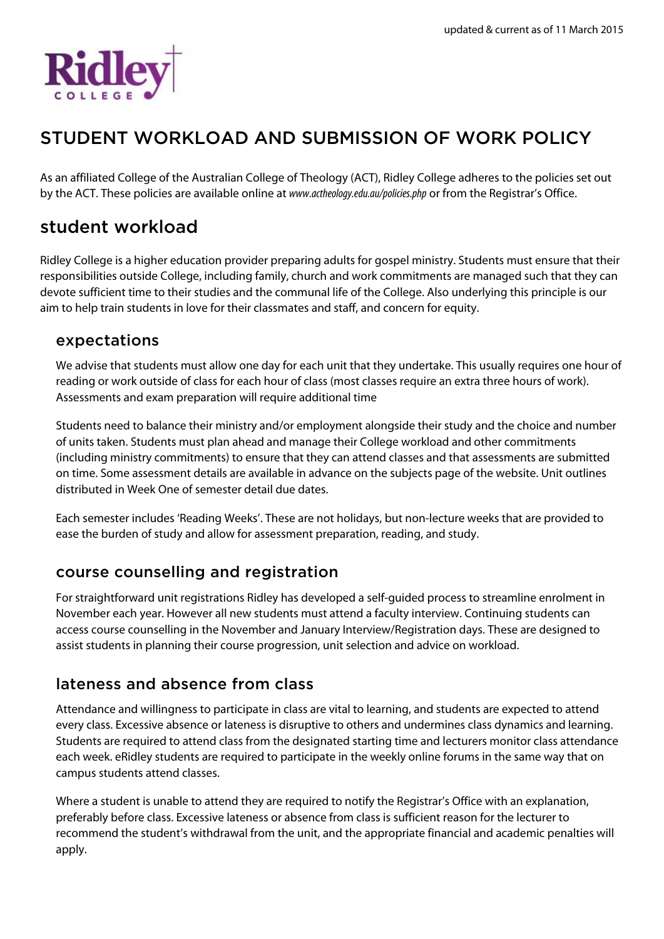

# STUDENT WORKLOAD AND SUBMISSION OF WORK POLICY

As an affiliated College of the Australian College of Theology (ACT), Ridley College adheres to the policies set out by the ACT. These policies are available online at *www.actheology.edu.au/policies.php* or from the Registrar's Office.

### student workload

Ridley College is a higher education provider preparing adults for gospel ministry. Students must ensure that their responsibilities outside College, including family, church and work commitments are managed such that they can devote sufficient time to their studies and the communal life of the College. Also underlying this principle is our aim to help train students in love for their classmates and staff, and concern for equity.

#### expectations

We advise that students must allow one day for each unit that they undertake. This usually requires one hour of reading or work outside of class for each hour of class (most classes require an extra three hours of work). Assessments and exam preparation will require additional time

Students need to balance their ministry and/or employment alongside their study and the choice and number of units taken. Students must plan ahead and manage their College workload and other commitments (including ministry commitments) to ensure that they can attend classes and that assessments are submitted on time. Some assessment details are available in advance on the subjects page of the website. Unit outlines distributed in Week One of semester detail due dates.

Each semester includes 'Reading Weeks'. These are not holidays, but non-lecture weeks that are provided to ease the burden of study and allow for assessment preparation, reading, and study.

### course counselling and registration

For straightforward unit registrations Ridley has developed a self-guided process to streamline enrolment in November each year. However all new students must attend a faculty interview. Continuing students can access course counselling in the November and January Interview/Registration days. These are designed to assist students in planning their course progression, unit selection and advice on workload.

### lateness and absence from class

Attendance and willingness to participate in class are vital to learning, and students are expected to attend every class. Excessive absence or lateness is disruptive to others and undermines class dynamics and learning. Students are required to attend class from the designated starting time and lecturers monitor class attendance each week. eRidley students are required to participate in the weekly online forums in the same way that on campus students attend classes.

Where a student is unable to attend they are required to notify the Registrar's Office with an explanation, preferably before class. Excessive lateness or absence from class is sufficient reason for the lecturer to recommend the student's withdrawal from the unit, and the appropriate financial and academic penalties will apply.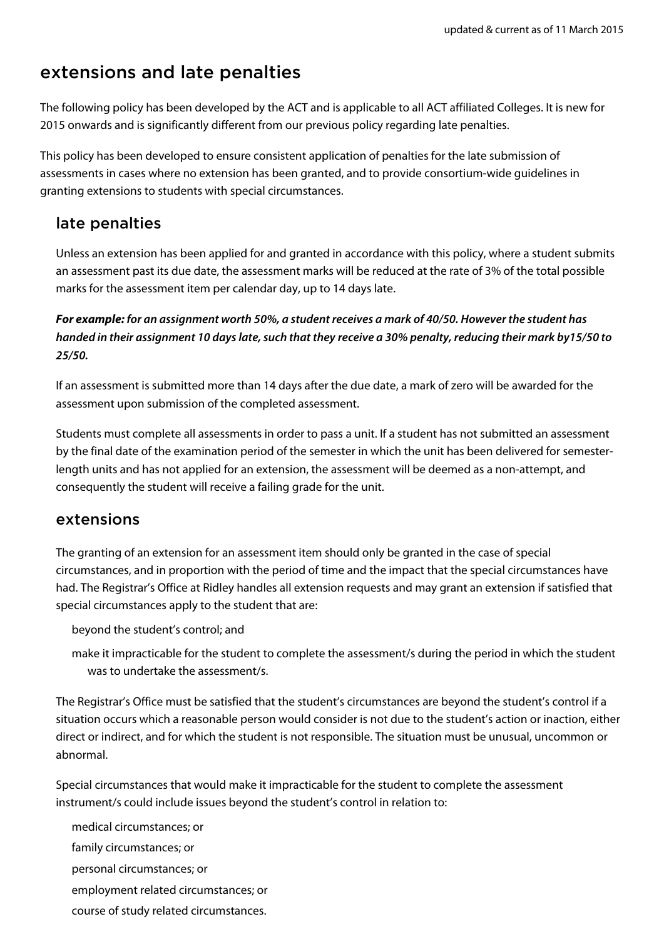# extensions and late penalties

The following policy has been developed by the ACT and is applicable to all ACT affiliated Colleges. It is new for 2015 onwards and is significantly different from our previous policy regarding late penalties.

This policy has been developed to ensure consistent application of penalties for the late submission of assessments in cases where no extension has been granted, and to provide consortium-wide guidelines in granting extensions to students with special circumstances.

### late penalties

Unless an extension has been applied for and granted in accordance with this policy, where a student submits an assessment past its due date, the assessment marks will be reduced at the rate of 3% of the total possible marks for the assessment item per calendar day, up to 14 days late.

#### **For example: for an assignment worth 50%, a student receives a mark of 40/50. However the student has handed in their assignment 10 days late, such that they receive a 30% penalty, reducing their mark by15/50 to 25/50.**

If an assessment is submitted more than 14 days after the due date, a mark of zero will be awarded for the assessment upon submission of the completed assessment.

Students must complete all assessments in order to pass a unit. If a student has not submitted an assessment by the final date of the examination period of the semester in which the unit has been delivered for semesterlength units and has not applied for an extension, the assessment will be deemed as a non-attempt, and consequently the student will receive a failing grade for the unit.

#### extensions

The granting of an extension for an assessment item should only be granted in the case of special circumstances, and in proportion with the period of time and the impact that the special circumstances have had. The Registrar's Office at Ridley handles all extension requests and may grant an extension if satisfied that special circumstances apply to the student that are:

beyond the student's control; and

make it impracticable for the student to complete the assessment/s during the period in which the student was to undertake the assessment/s.

The Registrar's Office must be satisfied that the student's circumstances are beyond the student's control if a situation occurs which a reasonable person would consider is not due to the student's action or inaction, either direct or indirect, and for which the student is not responsible. The situation must be unusual, uncommon or abnormal.

Special circumstances that would make it impracticable for the student to complete the assessment instrument/s could include issues beyond the student's control in relation to:

medical circumstances; or

family circumstances; or

personal circumstances; or

employment related circumstances; or

course of study related circumstances.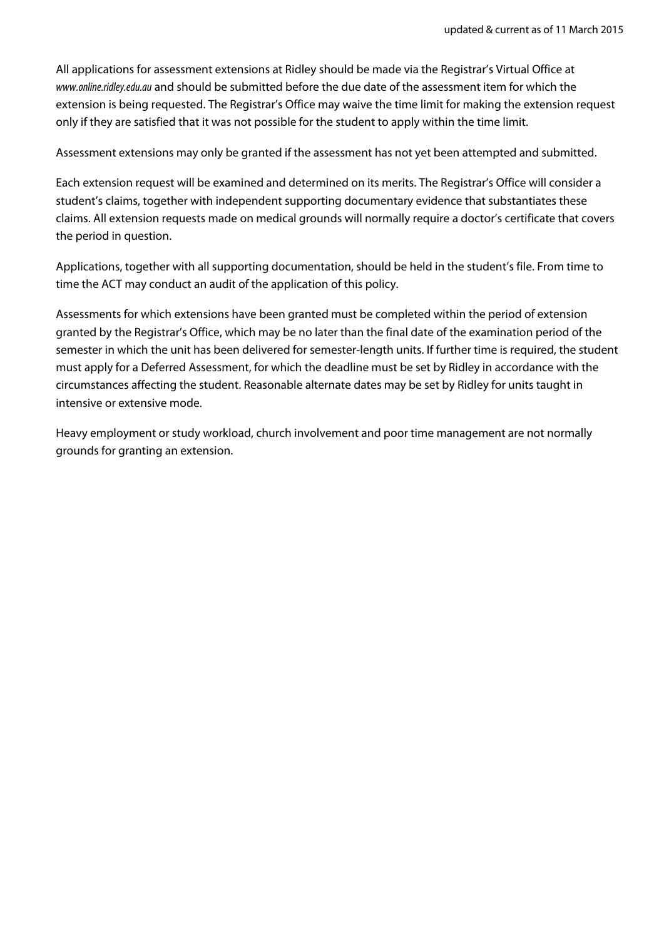All applications for assessment extensions at Ridley should be made via the Registrar's Virtual Office at www.online.ridley.edu.au and should be submitted before the due date of the assessment item for which the extension is being requested. The Registrar's Office may waive the time limit for making the extension request only if they are satisfied that it was not possible for the student to apply within the time limit.

Assessment extensions may only be granted if the assessment has not yet been attempted and submitted.

Each extension request will be examined and determined on its merits. The Registrar's Office will consider a student's claims, together with independent supporting documentary evidence that substantiates these claims. All extension requests made on medical grounds will normally require a doctor's certificate that covers the period in question.

Applications, together with all supporting documentation, should be held in the student's file. From time to time the ACT may conduct an audit of the application of this policy.

Assessments for which extensions have been granted must be completed within the period of extension granted by the Registrar's Office, which may be no later than the final date of the examination period of the semester in which the unit has been delivered for semester-length units. If further time is required, the student must apply for a Deferred Assessment, for which the deadline must be set by Ridley in accordance with the circumstances affecting the student. Reasonable alternate dates may be set by Ridley for units taught in intensive or extensive mode.

Heavy employment or study workload, church involvement and poor time management are not normally grounds for granting an extension.